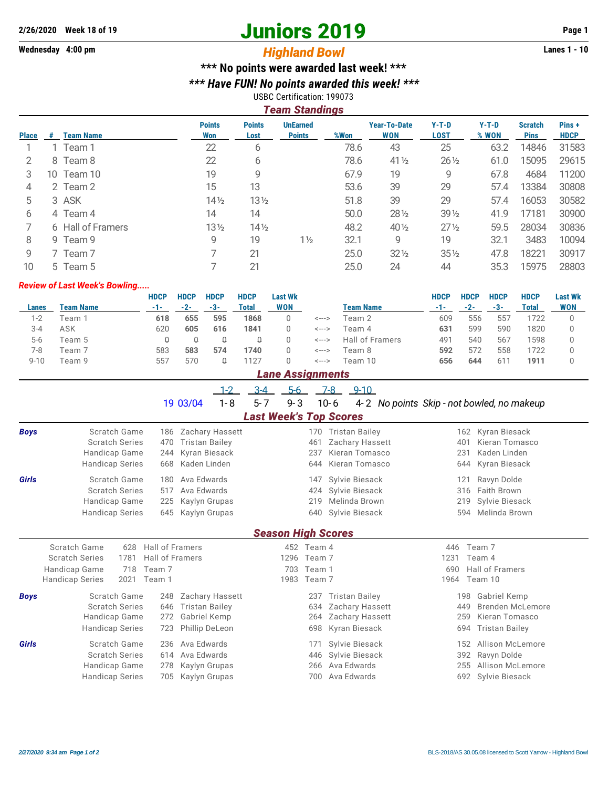# **2/26/2020 Week 18 of 19 Juniors 2019 Page 1**

## Wednesday 4:00 pm<br> **Highland Bowl**

## **\*\*\* No points were awarded last week! \*\*\***

*\*\*\* Have FUN! No points awarded this week! \*\*\**

#### USBC Certification: 199073 *Team Standings*

|              |   |                   |                      |                       | i cani ətanuniyə                 |      |                                   |                        |                  |                               |                      |
|--------------|---|-------------------|----------------------|-----------------------|----------------------------------|------|-----------------------------------|------------------------|------------------|-------------------------------|----------------------|
| <b>Place</b> | # | <b>Team Name</b>  | <b>Points</b><br>Won | <b>Points</b><br>Lost | <b>UnEarned</b><br><b>Points</b> | %Won | <b>Year-To-Date</b><br><b>WON</b> | $Y-T-D$<br><b>LOST</b> | $Y-T-D$<br>% WON | <b>Scratch</b><br><b>Pins</b> | Pins+<br><b>HDCP</b> |
|              |   | 1 Team 1          | 22                   | 6                     |                                  | 78.6 | 43                                | 25                     | 63.2             | 14846                         | 31583                |
|              |   | 8 Team 8          | 22                   | 6                     |                                  | 78.6 | 41 1/2                            | $26\frac{1}{2}$        | 61.0             | 15095                         | 29615                |
| З            |   | 10 Team 10        | 19                   | 9                     |                                  | 67.9 | 19                                | 9                      | 67.8             | 4684                          | 11200                |
| 4            |   | 2 Team 2          | 15                   | 13                    |                                  | 53.6 | 39                                | 29                     | 57.4             | 13384                         | 30808                |
| 5            |   | 3 ASK             | $14\frac{1}{2}$      | $13\frac{1}{2}$       |                                  | 51.8 | 39                                | 29                     | 57.4             | 16053                         | 30582                |
| 6            |   | 4 Team 4          | 14                   | 14                    |                                  | 50.0 | $28\frac{1}{2}$                   | $39\frac{1}{2}$        | 41.9             | 17181                         | 30900                |
|              |   | 6 Hall of Framers | $13\frac{1}{2}$      | $14\frac{1}{2}$       |                                  | 48.2 | $40\frac{1}{2}$                   | $27\frac{1}{2}$        | 59.5             | 28034                         | 30836                |
| 8            |   | 9 Team 9          | 9                    | 19                    | $1\frac{1}{2}$                   | 32.1 | 9                                 | 19                     | 32.1             | 3483                          | 10094                |
| 9            |   | 7 Team 7          |                      | 21                    |                                  | 25.0 | $32\frac{1}{2}$                   | $35\%$                 | 47.8             | 18221                         | 30917                |
| 10           |   | 5 Team 5          |                      | 21                    |                                  | 25.0 | 24                                | 44                     | 35.3             | 15975                         | 28803                |

#### *Review of Last Week's Bowling.....*

|          |           | HDCP | <b>HDCP</b> | <b>HDCP</b> | <b>HDCP</b> | Last Wk    |       |                  | <b>HDCP</b> | <b>HDCP</b> | <b>HDCP</b>     | <b>HDCP</b> | <b>Last Wk</b> |
|----------|-----------|------|-------------|-------------|-------------|------------|-------|------------------|-------------|-------------|-----------------|-------------|----------------|
| Lanes    | Team Name | -1-  | $-2-$       | -3-         | Total       | <b>WON</b> |       | <b>Team Name</b> | -1-         | $-2-$       | $-3-$           | Total       | <b>WON</b>     |
| 1-2      | Team 1    | 618  | 655         | 595         | 1868        |            | <---> | Team 2           | 609         | 556         | 557             | 722         |                |
| 3-4      | ASK       | 620  | 605         | 616         | 1841        |            | <---> | Team 4           | 631         | 599         | 590             | 1820        |                |
| $5-6$    | Team 5    |      |             |             |             |            | <---> | Hall of Framers  | 491         | 540         | 567             | 598         |                |
| 7-8      | Team 7    | 583  | 583         | 574         | 1740        |            | <---> | Team 8           | 592         | 572         | 558             | 1722        |                |
| $9 - 10$ | Team 9    | 557  | 570         |             | 127         |            | <---> | Team 10          | 656         | 644         | 61 <sup>7</sup> | 1911        |                |

### *Lane Assignments*

|      |                       |                     | $3-4$ $5-6$ $7-8$ $9-10$ |                               |                     |                                                     |  |                   |  |
|------|-----------------------|---------------------|--------------------------|-------------------------------|---------------------|-----------------------------------------------------|--|-------------------|--|
|      |                       | 19 03/04            | 1-8                      | 5-7                           |                     | 9-3 10-6 4-2 No points Skip - not bowled, no makeup |  |                   |  |
|      |                       |                     |                          | <b>Last Week's Top Scores</b> |                     |                                                     |  |                   |  |
| Boys | Scratch Game          | 186 Zachary Hassett |                          |                               |                     | 170 Tristan Bailey                                  |  | 162 Kyran Biesack |  |
|      | <b>Scratch Series</b> | 470 Tristan Bailey  |                          |                               | 461 Zachary Hassett | 401 Kieran Tomasco                                  |  |                   |  |

|              | <b>Scratch Series</b>  | 470 Tristan Bailey | 461 Zachary Hassett | 401 Kieran Tomasco     |  |  |  |  |  |  |  |  |  |
|--------------|------------------------|--------------------|---------------------|------------------------|--|--|--|--|--|--|--|--|--|
|              | Handicap Game          | 244 Kyran Biesack  | 237 Kieran Tomasco  | 231 Kaden Linden       |  |  |  |  |  |  |  |  |  |
|              | <b>Handicap Series</b> | 668 Kaden Linden   | 644 Kieran Tomasco  | 644 Kyran Biesack      |  |  |  |  |  |  |  |  |  |
| <b>Girls</b> | Scratch Game           | 180 Ava Edwards    | 147 Sylvie Biesack  | 121 Ravyn Dolde        |  |  |  |  |  |  |  |  |  |
|              | <b>Scratch Series</b>  | 517 Ava Edwards    | 424 Sylvie Biesack  | 316 Faith Brown        |  |  |  |  |  |  |  |  |  |
|              | Handicap Game          | 225 Kaylyn Grupas  | 219 Melinda Brown   | 219 Sylvie Biesack     |  |  |  |  |  |  |  |  |  |
|              | <b>Handicap Series</b> | 645 Kaylyn Grupas  | 640 Sylvie Biesack  | 594 Melinda Brown      |  |  |  |  |  |  |  |  |  |
|              |                        |                    |                     | $\sim$ $\cdots$ $\sim$ |  |  |  |  |  |  |  |  |  |

#### *Season High Scores*

|             | Scratch Game<br><b>Scratch Series</b> | 628<br>1781 | Hall of Framers<br>Hall of Framers |                     | 452 Team 4<br>1296 Team 7 |                     | 1231 | 446 Team 7<br>Team 4    |  |
|-------------|---------------------------------------|-------------|------------------------------------|---------------------|---------------------------|---------------------|------|-------------------------|--|
|             |                                       |             |                                    |                     |                           |                     |      |                         |  |
|             | Handicap Game                         | 718         | Team 7                             |                     | 703 Team 1                |                     |      | 690 Hall of Framers     |  |
|             | <b>Handicap Series</b>                |             | 2021 Team 1                        |                     | 1983 Team 7               |                     |      | 1964 Team 10            |  |
| <b>Boys</b> | Scratch Game                          |             |                                    | 248 Zachary Hassett |                           | 237 Tristan Bailey  |      | Gabriel Kemp<br>198     |  |
|             | <b>Scratch Series</b>                 |             |                                    | 646 Tristan Bailey  |                           | 634 Zachary Hassett |      | Brenden McLemore<br>449 |  |
|             | Handicap Game                         |             |                                    | 272 Gabriel Kemp    |                           | 264 Zachary Hassett |      | Kieran Tomasco<br>259   |  |
|             | <b>Handicap Series</b>                |             |                                    | 723 Phillip DeLeon  |                           | 698 Kyran Biesack   |      | 694 Tristan Bailey      |  |
| Girls       | Scratch Game                          |             |                                    | 236 Ava Edwards     |                           | 171 Sylvie Biesack  |      | Allison McLemore<br>152 |  |
|             | <b>Scratch Series</b>                 |             |                                    | 614 Ava Edwards     |                           | 446 Sylvie Biesack  |      | 392 Ravyn Dolde         |  |
|             | Handicap Game                         |             |                                    | 278 Kaylyn Grupas   |                           | 266 Ava Edwards     |      | 255 Allison McLemore    |  |
|             | <b>Handicap Series</b>                |             |                                    | 705 Kaylyn Grupas   |                           | 700 Ava Edwards     |      | 692 Sylvie Biesack      |  |